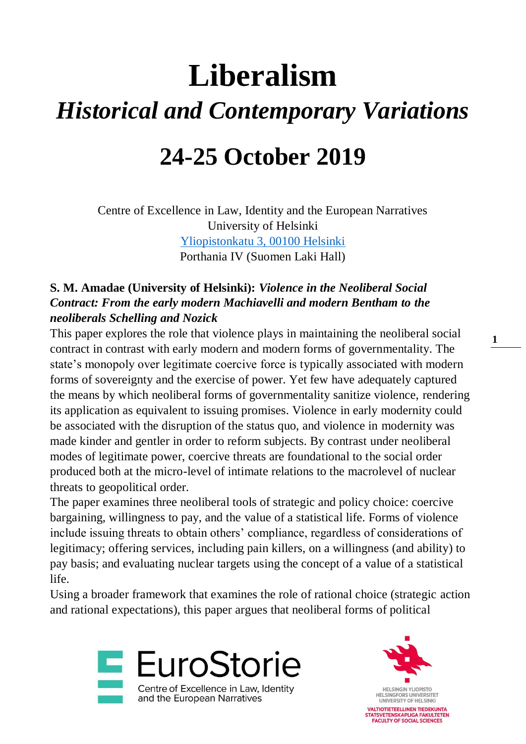# **Liberalism** *Historical and Contemporary Variations*

## **24-25 October 2019**

Centre of Excellence in Law, Identity and the European Narratives University of Helsinki [Yliopistonkatu 3, 00100 Helsinki](https://goo.gl/maps/mqLEXFMMyvuEBkxa6) Porthania IV (Suomen Laki Hall)

### **S. M. Amadae (University of Helsinki):** *Violence in the Neoliberal Social Contract: From the early modern Machiavelli and modern Bentham to the neoliberals Schelling and Nozick*

This paper explores the role that violence plays in maintaining the neoliberal social contract in contrast with early modern and modern forms of governmentality. The state's monopoly over legitimate coercive force is typically associated with modern forms of sovereignty and the exercise of power. Yet few have adequately captured the means by which neoliberal forms of governmentality sanitize violence, rendering its application as equivalent to issuing promises. Violence in early modernity could be associated with the disruption of the status quo, and violence in modernity was made kinder and gentler in order to reform subjects. By contrast under neoliberal modes of legitimate power, coercive threats are foundational to the social order produced both at the micro-level of intimate relations to the macrolevel of nuclear threats to geopolitical order.

The paper examines three neoliberal tools of strategic and policy choice: coercive bargaining, willingness to pay, and the value of a statistical life. Forms of violence include issuing threats to obtain others' compliance, regardless of considerations of legitimacy; offering services, including pain killers, on a willingness (and ability) to pay basis; and evaluating nuclear targets using the concept of a value of a statistical life.

Using a broader framework that examines the role of rational choice (strategic action and rational expectations), this paper argues that neoliberal forms of political



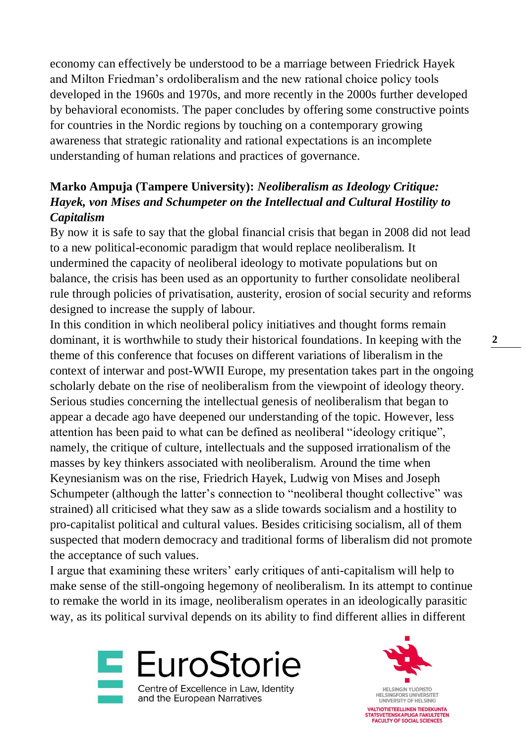economy can effectively be understood to be a marriage between Friedrick Hayek and Milton Friedman's ordoliberalism and the new rational choice policy tools developed in the 1960s and 1970s, and more recently in the 2000s further developed by behavioral economists. The paper concludes by offering some constructive points for countries in the Nordic regions by touching on a contemporary growing awareness that strategic rationality and rational expectations is an incomplete understanding of human relations and practices of governance.

#### **Marko Ampuja (Tampere University):** *Neoliberalism as Ideology Critique: Hayek, von Mises and Schumpeter on the Intellectual and Cultural Hostility to Capitalism*

By now it is safe to say that the global financial crisis that began in 2008 did not lead to a new political-economic paradigm that would replace neoliberalism. It undermined the capacity of neoliberal ideology to motivate populations but on balance, the crisis has been used as an opportunity to further consolidate neoliberal rule through policies of privatisation, austerity, erosion of social security and reforms designed to increase the supply of labour.

In this condition in which neoliberal policy initiatives and thought forms remain dominant, it is worthwhile to study their historical foundations. In keeping with the theme of this conference that focuses on different variations of liberalism in the context of interwar and post-WWII Europe, my presentation takes part in the ongoing scholarly debate on the rise of neoliberalism from the viewpoint of ideology theory. Serious studies concerning the intellectual genesis of neoliberalism that began to appear a decade ago have deepened our understanding of the topic. However, less attention has been paid to what can be defined as neoliberal "ideology critique", namely, the critique of culture, intellectuals and the supposed irrationalism of the masses by key thinkers associated with neoliberalism. Around the time when Keynesianism was on the rise, Friedrich Hayek, Ludwig von Mises and Joseph Schumpeter (although the latter's connection to "neoliberal thought collective" was strained) all criticised what they saw as a slide towards socialism and a hostility to pro-capitalist political and cultural values. Besides criticising socialism, all of them suspected that modern democracy and traditional forms of liberalism did not promote the acceptance of such values.

I argue that examining these writers' early critiques of anti-capitalism will help to make sense of the still-ongoing hegemony of neoliberalism. In its attempt to continue to remake the world in its image, neoliberalism operates in an ideologically parasitic way, as its political survival depends on its ability to find different allies in different



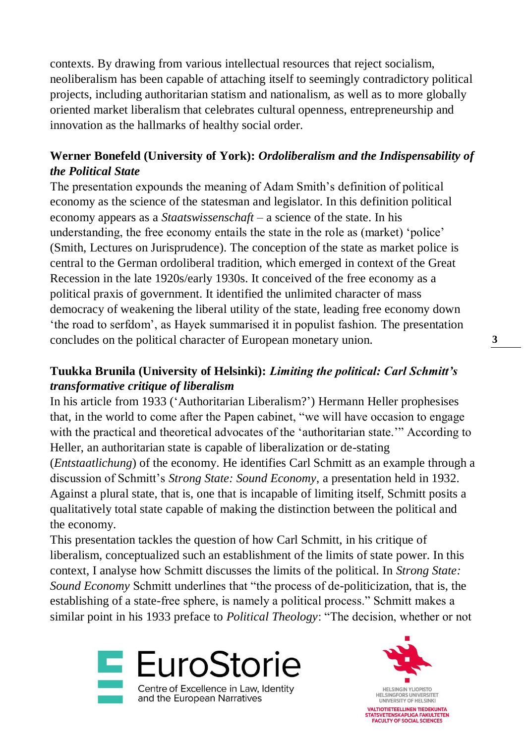contexts. By drawing from various intellectual resources that reject socialism, neoliberalism has been capable of attaching itself to seemingly contradictory political projects, including authoritarian statism and nationalism, as well as to more globally oriented market liberalism that celebrates cultural openness, entrepreneurship and innovation as the hallmarks of healthy social order.

#### **Werner Bonefeld (University of York):** *Ordoliberalism and the Indispensability of the Political State*

The presentation expounds the meaning of Adam Smith's definition of political economy as the science of the statesman and legislator. In this definition political economy appears as a *Staatswissenschaft* – a science of the state. In his understanding, the free economy entails the state in the role as (market) 'police' (Smith, Lectures on Jurisprudence). The conception of the state as market police is central to the German ordoliberal tradition, which emerged in context of the Great Recession in the late 1920s/early 1930s. It conceived of the free economy as a political praxis of government. It identified the unlimited character of mass democracy of weakening the liberal utility of the state, leading free economy down 'the road to serfdom', as Hayek summarised it in populist fashion. The presentation concludes on the political character of European monetary union.

#### **Tuukka Brunila (University of Helsinki):** *Limiting the political: Carl Schmitt's transformative critique of liberalism*

In his article from 1933 ('Authoritarian Liberalism?') Hermann Heller prophesises that, in the world to come after the Papen cabinet, "we will have occasion to engage with the practical and theoretical advocates of the 'authoritarian state.'" According to Heller, an authoritarian state is capable of liberalization or de-stating (*Entstaatlichung*) of the economy. He identifies Carl Schmitt as an example through a discussion of Schmitt's *Strong State: Sound Economy*, a presentation held in 1932. Against a plural state, that is, one that is incapable of limiting itself, Schmitt posits a qualitatively total state capable of making the distinction between the political and the economy.

This presentation tackles the question of how Carl Schmitt, in his critique of liberalism, conceptualized such an establishment of the limits of state power. In this context, I analyse how Schmitt discusses the limits of the political. In *Strong State: Sound Economy* Schmitt underlines that "the process of de-politicization, that is, the establishing of a state-free sphere, is namely a political process." Schmitt makes a similar point in his 1933 preface to *Political Theology*: "The decision, whether or not



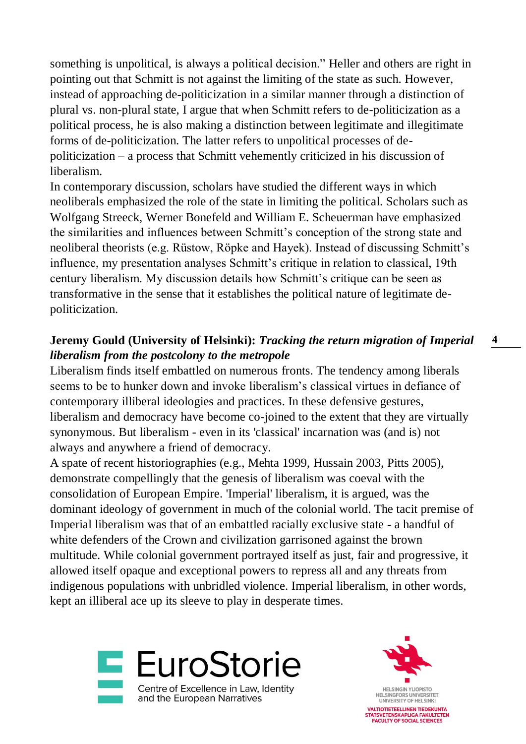something is unpolitical, is always a political decision." Heller and others are right in pointing out that Schmitt is not against the limiting of the state as such. However, instead of approaching de-politicization in a similar manner through a distinction of plural vs. non-plural state, I argue that when Schmitt refers to de-politicization as a political process, he is also making a distinction between legitimate and illegitimate forms of de-politicization. The latter refers to unpolitical processes of depoliticization – a process that Schmitt vehemently criticized in his discussion of liberalism.

In contemporary discussion, scholars have studied the different ways in which neoliberals emphasized the role of the state in limiting the political. Scholars such as Wolfgang Streeck, Werner Bonefeld and William E. Scheuerman have emphasized the similarities and influences between Schmitt's conception of the strong state and neoliberal theorists (e.g. Rüstow, Röpke and Hayek). Instead of discussing Schmitt's influence, my presentation analyses Schmitt's critique in relation to classical, 19th century liberalism. My discussion details how Schmitt's critique can be seen as transformative in the sense that it establishes the political nature of legitimate depoliticization.

#### **4 Jeremy Gould (University of Helsinki):** *Tracking the return migration of Imperial liberalism from the postcolony to the metropole*

Liberalism finds itself embattled on numerous fronts. The tendency among liberals seems to be to hunker down and invoke liberalism's classical virtues in defiance of contemporary illiberal ideologies and practices. In these defensive gestures, liberalism and democracy have become co-joined to the extent that they are virtually synonymous. But liberalism - even in its 'classical' incarnation was (and is) not always and anywhere a friend of democracy.

A spate of recent historiographies (e.g., Mehta 1999, Hussain 2003, Pitts 2005), demonstrate compellingly that the genesis of liberalism was coeval with the consolidation of European Empire. 'Imperial' liberalism, it is argued, was the dominant ideology of government in much of the colonial world. The tacit premise of Imperial liberalism was that of an embattled racially exclusive state - a handful of white defenders of the Crown and civilization garrisoned against the brown multitude. While colonial government portrayed itself as just, fair and progressive, it allowed itself opaque and exceptional powers to repress all and any threats from indigenous populations with unbridled violence. Imperial liberalism, in other words, kept an illiberal ace up its sleeve to play in desperate times.



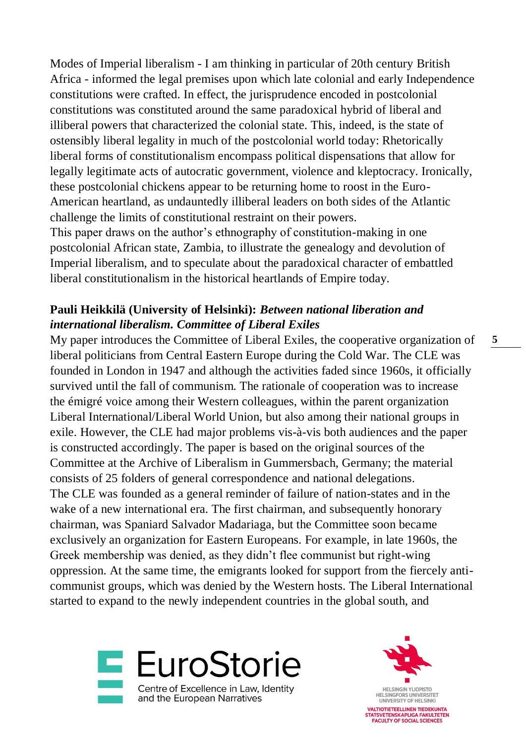Modes of Imperial liberalism - I am thinking in particular of 20th century British Africa - informed the legal premises upon which late colonial and early Independence constitutions were crafted. In effect, the jurisprudence encoded in postcolonial constitutions was constituted around the same paradoxical hybrid of liberal and illiberal powers that characterized the colonial state. This, indeed, is the state of ostensibly liberal legality in much of the postcolonial world today: Rhetorically liberal forms of constitutionalism encompass political dispensations that allow for legally legitimate acts of autocratic government, violence and kleptocracy. Ironically, these postcolonial chickens appear to be returning home to roost in the Euro-American heartland, as undauntedly illiberal leaders on both sides of the Atlantic challenge the limits of constitutional restraint on their powers.

This paper draws on the author's ethnography of constitution-making in one postcolonial African state, Zambia, to illustrate the genealogy and devolution of Imperial liberalism, and to speculate about the paradoxical character of embattled liberal constitutionalism in the historical heartlands of Empire today.

#### **Pauli Heikkilä (University of Helsinki):** *Between national liberation and international liberalism. Committee of Liberal Exiles*

My paper introduces the Committee of Liberal Exiles, the cooperative organization of liberal politicians from Central Eastern Europe during the Cold War. The CLE was founded in London in 1947 and although the activities faded since 1960s, it officially survived until the fall of communism. The rationale of cooperation was to increase the émigré voice among their Western colleagues, within the parent organization Liberal International/Liberal World Union, but also among their national groups in exile. However, the CLE had major problems vis-à-vis both audiences and the paper is constructed accordingly. The paper is based on the original sources of the Committee at the Archive of Liberalism in Gummersbach, Germany; the material consists of 25 folders of general correspondence and national delegations. The CLE was founded as a general reminder of failure of nation-states and in the wake of a new international era. The first chairman, and subsequently honorary chairman, was Spaniard Salvador Madariaga, but the Committee soon became exclusively an organization for Eastern Europeans. For example, in late 1960s, the Greek membership was denied, as they didn't flee communist but right-wing oppression. At the same time, the emigrants looked for support from the fiercely anticommunist groups, which was denied by the Western hosts. The Liberal International started to expand to the newly independent countries in the global south, and



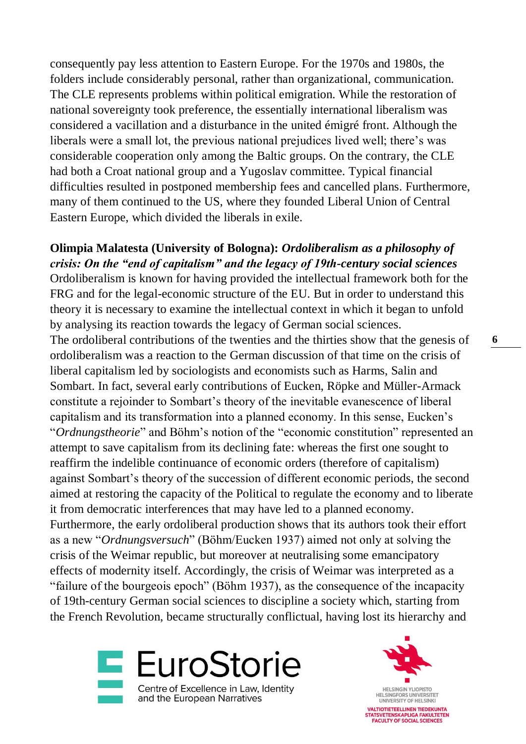consequently pay less attention to Eastern Europe. For the 1970s and 1980s, the folders include considerably personal, rather than organizational, communication. The CLE represents problems within political emigration. While the restoration of national sovereignty took preference, the essentially international liberalism was considered a vacillation and a disturbance in the united émigré front. Although the liberals were a small lot, the previous national prejudices lived well; there's was considerable cooperation only among the Baltic groups. On the contrary, the CLE had both a Croat national group and a Yugoslav committee. Typical financial difficulties resulted in postponed membership fees and cancelled plans. Furthermore, many of them continued to the US, where they founded Liberal Union of Central Eastern Europe, which divided the liberals in exile.

**Olimpia Malatesta (University of Bologna):** *Ordoliberalism as a philosophy of crisis: On the "end of capitalism" and the legacy of 19th-century social sciences* Ordoliberalism is known for having provided the intellectual framework both for the FRG and for the legal-economic structure of the EU. But in order to understand this theory it is necessary to examine the intellectual context in which it began to unfold by analysing its reaction towards the legacy of German social sciences. The ordoliberal contributions of the twenties and the thirties show that the genesis of ordoliberalism was a reaction to the German discussion of that time on the crisis of liberal capitalism led by sociologists and economists such as Harms, Salin and Sombart. In fact, several early contributions of Eucken, Röpke and Müller-Armack constitute a rejoinder to Sombart's theory of the inevitable evanescence of liberal capitalism and its transformation into a planned economy. In this sense, Eucken's "*Ordnungstheorie*" and Böhm's notion of the "economic constitution" represented an attempt to save capitalism from its declining fate: whereas the first one sought to reaffirm the indelible continuance of economic orders (therefore of capitalism) against Sombart's theory of the succession of different economic periods, the second aimed at restoring the capacity of the Political to regulate the economy and to liberate it from democratic interferences that may have led to a planned economy. Furthermore, the early ordoliberal production shows that its authors took their effort as a new "*Ordnungsversuch*" (Böhm/Eucken 1937) aimed not only at solving the crisis of the Weimar republic, but moreover at neutralising some emancipatory effects of modernity itself. Accordingly, the crisis of Weimar was interpreted as a "failure of the bourgeois epoch" (Böhm 1937), as the consequence of the incapacity of 19th-century German social sciences to discipline a society which, starting from the French Revolution, became structurally conflictual, having lost its hierarchy and



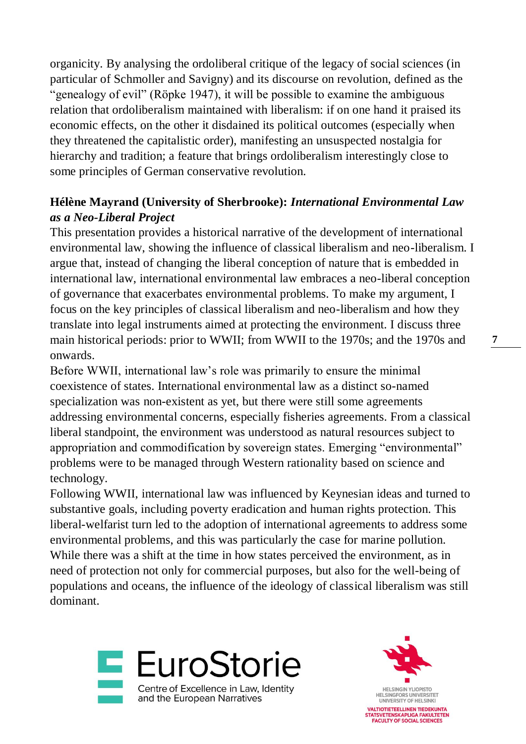organicity. By analysing the ordoliberal critique of the legacy of social sciences (in particular of Schmoller and Savigny) and its discourse on revolution, defined as the "genealogy of evil" (Röpke 1947), it will be possible to examine the ambiguous relation that ordoliberalism maintained with liberalism: if on one hand it praised its economic effects, on the other it disdained its political outcomes (especially when they threatened the capitalistic order), manifesting an unsuspected nostalgia for hierarchy and tradition; a feature that brings ordoliberalism interestingly close to some principles of German conservative revolution.

#### **Hélène Mayrand (University of Sherbrooke):** *International Environmental Law as a Neo-Liberal Project*

This presentation provides a historical narrative of the development of international environmental law, showing the influence of classical liberalism and neo-liberalism. I argue that, instead of changing the liberal conception of nature that is embedded in international law, international environmental law embraces a neo-liberal conception of governance that exacerbates environmental problems. To make my argument, I focus on the key principles of classical liberalism and neo-liberalism and how they translate into legal instruments aimed at protecting the environment. I discuss three main historical periods: prior to WWII; from WWII to the 1970s; and the 1970s and onwards.

Before WWII, international law's role was primarily to ensure the minimal coexistence of states. International environmental law as a distinct so-named specialization was non-existent as yet, but there were still some agreements addressing environmental concerns, especially fisheries agreements. From a classical liberal standpoint, the environment was understood as natural resources subject to appropriation and commodification by sovereign states. Emerging "environmental" problems were to be managed through Western rationality based on science and technology.

Following WWII, international law was influenced by Keynesian ideas and turned to substantive goals, including poverty eradication and human rights protection. This liberal-welfarist turn led to the adoption of international agreements to address some environmental problems, and this was particularly the case for marine pollution. While there was a shift at the time in how states perceived the environment, as in need of protection not only for commercial purposes, but also for the well-being of populations and oceans, the influence of the ideology of classical liberalism was still dominant.



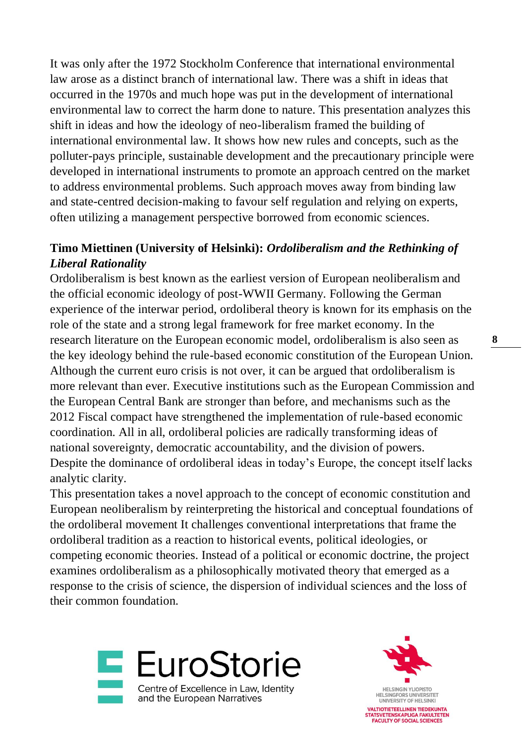It was only after the 1972 Stockholm Conference that international environmental law arose as a distinct branch of international law. There was a shift in ideas that occurred in the 1970s and much hope was put in the development of international environmental law to correct the harm done to nature. This presentation analyzes this shift in ideas and how the ideology of neo-liberalism framed the building of international environmental law. It shows how new rules and concepts, such as the polluter-pays principle, sustainable development and the precautionary principle were developed in international instruments to promote an approach centred on the market to address environmental problems. Such approach moves away from binding law and state-centred decision-making to favour self regulation and relying on experts, often utilizing a management perspective borrowed from economic sciences.

#### **Timo Miettinen (University of Helsinki):** *Ordoliberalism and the Rethinking of Liberal Rationality*

Ordoliberalism is best known as the earliest version of European neoliberalism and the official economic ideology of post-WWII Germany. Following the German experience of the interwar period, ordoliberal theory is known for its emphasis on the role of the state and a strong legal framework for free market economy. In the research literature on the European economic model, ordoliberalism is also seen as the key ideology behind the rule-based economic constitution of the European Union. Although the current euro crisis is not over, it can be argued that ordoliberalism is more relevant than ever. Executive institutions such as the European Commission and the European Central Bank are stronger than before, and mechanisms such as the 2012 Fiscal compact have strengthened the implementation of rule-based economic coordination. All in all, ordoliberal policies are radically transforming ideas of national sovereignty, democratic accountability, and the division of powers. Despite the dominance of ordoliberal ideas in today's Europe, the concept itself lacks analytic clarity.

This presentation takes a novel approach to the concept of economic constitution and European neoliberalism by reinterpreting the historical and conceptual foundations of the ordoliberal movement It challenges conventional interpretations that frame the ordoliberal tradition as a reaction to historical events, political ideologies, or competing economic theories. Instead of a political or economic doctrine, the project examines ordoliberalism as a philosophically motivated theory that emerged as a response to the crisis of science, the dispersion of individual sciences and the loss of their common foundation.



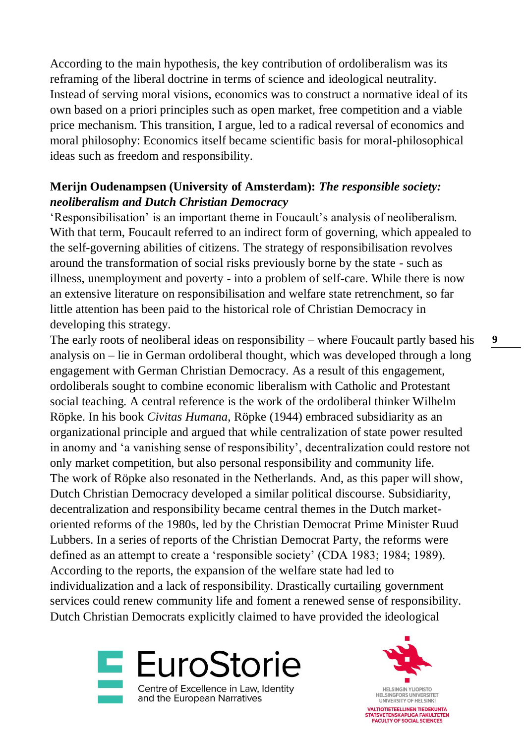According to the main hypothesis, the key contribution of ordoliberalism was its reframing of the liberal doctrine in terms of science and ideological neutrality. Instead of serving moral visions, economics was to construct a normative ideal of its own based on a priori principles such as open market, free competition and a viable price mechanism. This transition, I argue, led to a radical reversal of economics and moral philosophy: Economics itself became scientific basis for moral-philosophical ideas such as freedom and responsibility.

#### **Merijn Oudenampsen (University of Amsterdam):** *The responsible society: neoliberalism and Dutch Christian Democracy*

'Responsibilisation' is an important theme in Foucault's analysis of neoliberalism. With that term, Foucault referred to an indirect form of governing, which appealed to the self-governing abilities of citizens. The strategy of responsibilisation revolves around the transformation of social risks previously borne by the state - such as illness, unemployment and poverty - into a problem of self-care. While there is now an extensive literature on responsibilisation and welfare state retrenchment, so far little attention has been paid to the historical role of Christian Democracy in developing this strategy.

The early roots of neoliberal ideas on responsibility – where Foucault partly based his analysis on – lie in German ordoliberal thought, which was developed through a long engagement with German Christian Democracy. As a result of this engagement, ordoliberals sought to combine economic liberalism with Catholic and Protestant social teaching. A central reference is the work of the ordoliberal thinker Wilhelm Röpke. In his book *Civitas Humana*, Röpke (1944) embraced subsidiarity as an organizational principle and argued that while centralization of state power resulted in anomy and 'a vanishing sense of responsibility', decentralization could restore not only market competition, but also personal responsibility and community life. The work of Röpke also resonated in the Netherlands. And, as this paper will show, Dutch Christian Democracy developed a similar political discourse. Subsidiarity, decentralization and responsibility became central themes in the Dutch marketoriented reforms of the 1980s, led by the Christian Democrat Prime Minister Ruud Lubbers. In a series of reports of the Christian Democrat Party, the reforms were defined as an attempt to create a 'responsible society' (CDA 1983; 1984; 1989). According to the reports, the expansion of the welfare state had led to individualization and a lack of responsibility. Drastically curtailing government services could renew community life and foment a renewed sense of responsibility. Dutch Christian Democrats explicitly claimed to have provided the ideological



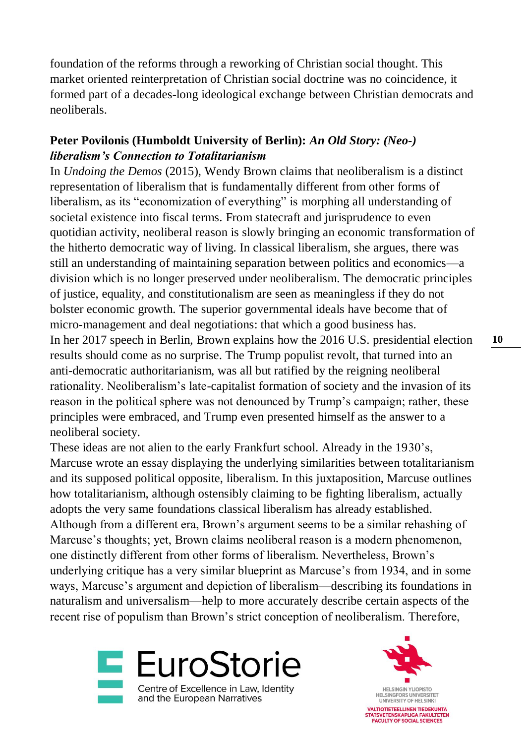foundation of the reforms through a reworking of Christian social thought. This market oriented reinterpretation of Christian social doctrine was no coincidence, it formed part of a decades-long ideological exchange between Christian democrats and neoliberals.

#### **Peter Povilonis (Humboldt University of Berlin):** *An Old Story: (Neo-) liberalism's Connection to Totalitarianism*

In *Undoing the Demos* (2015), Wendy Brown claims that neoliberalism is a distinct representation of liberalism that is fundamentally different from other forms of liberalism, as its "economization of everything" is morphing all understanding of societal existence into fiscal terms. From statecraft and jurisprudence to even quotidian activity, neoliberal reason is slowly bringing an economic transformation of the hitherto democratic way of living. In classical liberalism, she argues, there was still an understanding of maintaining separation between politics and economics—a division which is no longer preserved under neoliberalism. The democratic principles of justice, equality, and constitutionalism are seen as meaningless if they do not bolster economic growth. The superior governmental ideals have become that of micro-management and deal negotiations: that which a good business has. In her 2017 speech in Berlin, Brown explains how the 2016 U.S. presidential election results should come as no surprise. The Trump populist revolt, that turned into an anti-democratic authoritarianism, was all but ratified by the reigning neoliberal rationality. Neoliberalism's late-capitalist formation of society and the invasion of its reason in the political sphere was not denounced by Trump's campaign; rather, these principles were embraced, and Trump even presented himself as the answer to a neoliberal society.

These ideas are not alien to the early Frankfurt school. Already in the 1930's, Marcuse wrote an essay displaying the underlying similarities between totalitarianism and its supposed political opposite, liberalism. In this juxtaposition, Marcuse outlines how totalitarianism, although ostensibly claiming to be fighting liberalism, actually adopts the very same foundations classical liberalism has already established. Although from a different era, Brown's argument seems to be a similar rehashing of Marcuse's thoughts; yet, Brown claims neoliberal reason is a modern phenomenon, one distinctly different from other forms of liberalism. Nevertheless, Brown's underlying critique has a very similar blueprint as Marcuse's from 1934, and in some ways, Marcuse's argument and depiction of liberalism—describing its foundations in naturalism and universalism—help to more accurately describe certain aspects of the recent rise of populism than Brown's strict conception of neoliberalism. Therefore,



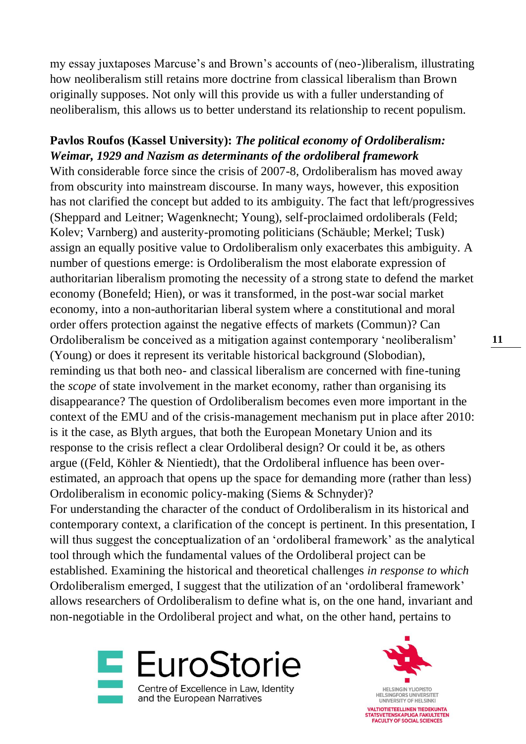my essay juxtaposes Marcuse's and Brown's accounts of (neo-)liberalism, illustrating how neoliberalism still retains more doctrine from classical liberalism than Brown originally supposes. Not only will this provide us with a fuller understanding of neoliberalism, this allows us to better understand its relationship to recent populism.

#### **Pavlos Roufos (Kassel University):** *The political economy of Ordoliberalism: Weimar, 1929 and Nazism as determinants of the ordoliberal framework*

With considerable force since the crisis of 2007-8, Ordoliberalism has moved away from obscurity into mainstream discourse. In many ways, however, this exposition has not clarified the concept but added to its ambiguity. The fact that left/progressives (Sheppard and Leitner; Wagenknecht; Young), self-proclaimed ordoliberals (Feld; Kolev; Varnberg) and austerity-promoting politicians (Schäuble; Merkel; Tusk) assign an equally positive value to Ordoliberalism only exacerbates this ambiguity. A number of questions emerge: is Ordoliberalism the most elaborate expression of authoritarian liberalism promoting the necessity of a strong state to defend the market economy (Bonefeld; Hien), or was it transformed, in the post-war social market economy, into a non-authoritarian liberal system where a constitutional and moral order offers protection against the negative effects of markets (Commun)? Can Ordoliberalism be conceived as a mitigation against contemporary 'neoliberalism' (Young) or does it represent its veritable historical background (Slobodian), reminding us that both neo- and classical liberalism are concerned with fine-tuning the *scope* of state involvement in the market economy, rather than organising its disappearance? The question of Ordoliberalism becomes even more important in the context of the EMU and of the crisis-management mechanism put in place after 2010: is it the case, as Blyth argues, that both the European Monetary Union and its response to the crisis reflect a clear Ordoliberal design? Or could it be, as others argue ((Feld, Köhler & Nientiedt), that the Ordoliberal influence has been overestimated, an approach that opens up the space for demanding more (rather than less) Ordoliberalism in economic policy-making (Siems & Schnyder)? For understanding the character of the conduct of Ordoliberalism in its historical and contemporary context, a clarification of the concept is pertinent. In this presentation, I will thus suggest the conceptualization of an 'ordoliberal framework' as the analytical tool through which the fundamental values of the Ordoliberal project can be established. Examining the historical and theoretical challenges *in response to which*  Ordoliberalism emerged, I suggest that the utilization of an 'ordoliberal framework' allows researchers of Ordoliberalism to define what is, on the one hand, invariant and non-negotiable in the Ordoliberal project and what, on the other hand, pertains to



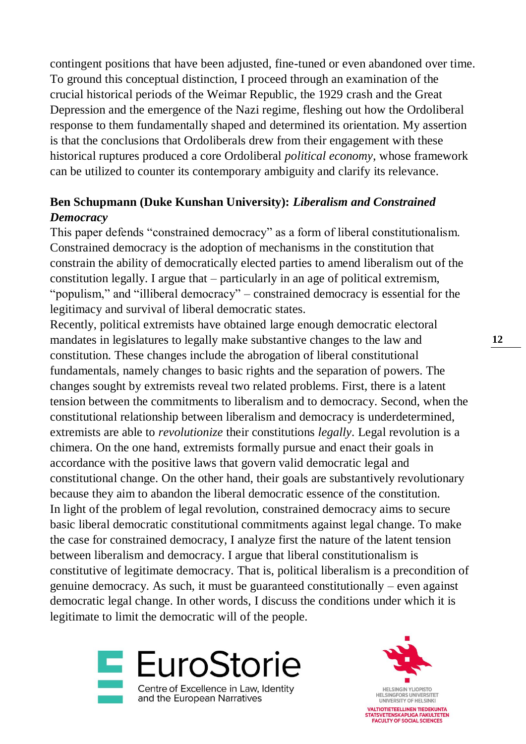contingent positions that have been adjusted, fine-tuned or even abandoned over time. To ground this conceptual distinction, I proceed through an examination of the crucial historical periods of the Weimar Republic, the 1929 crash and the Great Depression and the emergence of the Nazi regime, fleshing out how the Ordoliberal response to them fundamentally shaped and determined its orientation. My assertion is that the conclusions that Ordoliberals drew from their engagement with these historical ruptures produced a core Ordoliberal *political economy*, whose framework can be utilized to counter its contemporary ambiguity and clarify its relevance.

#### **Ben Schupmann (Duke Kunshan University):** *Liberalism and Constrained Democracy*

This paper defends "constrained democracy" as a form of liberal constitutionalism. Constrained democracy is the adoption of mechanisms in the constitution that constrain the ability of democratically elected parties to amend liberalism out of the constitution legally. I argue that – particularly in an age of political extremism, "populism," and "illiberal democracy" – constrained democracy is essential for the legitimacy and survival of liberal democratic states.

Recently, political extremists have obtained large enough democratic electoral mandates in legislatures to legally make substantive changes to the law and constitution. These changes include the abrogation of liberal constitutional fundamentals, namely changes to basic rights and the separation of powers. The changes sought by extremists reveal two related problems. First, there is a latent tension between the commitments to liberalism and to democracy. Second, when the constitutional relationship between liberalism and democracy is underdetermined, extremists are able to *revolutionize* their constitutions *legally*. Legal revolution is a chimera. On the one hand, extremists formally pursue and enact their goals in accordance with the positive laws that govern valid democratic legal and constitutional change. On the other hand, their goals are substantively revolutionary because they aim to abandon the liberal democratic essence of the constitution. In light of the problem of legal revolution, constrained democracy aims to secure basic liberal democratic constitutional commitments against legal change. To make the case for constrained democracy, I analyze first the nature of the latent tension between liberalism and democracy. I argue that liberal constitutionalism is constitutive of legitimate democracy. That is, political liberalism is a precondition of genuine democracy. As such, it must be guaranteed constitutionally – even against democratic legal change. In other words, I discuss the conditions under which it is legitimate to limit the democratic will of the people.



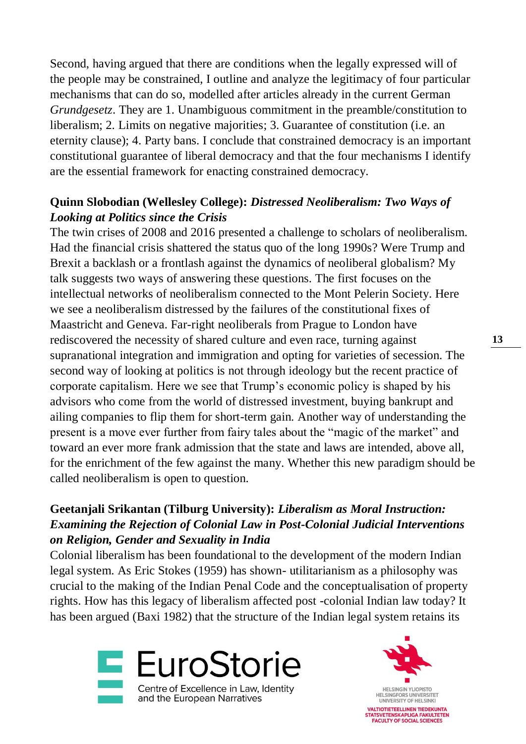Second, having argued that there are conditions when the legally expressed will of the people may be constrained, I outline and analyze the legitimacy of four particular mechanisms that can do so, modelled after articles already in the current German *Grundgesetz*. They are 1. Unambiguous commitment in the preamble/constitution to liberalism; 2. Limits on negative majorities; 3. Guarantee of constitution (i.e. an eternity clause); 4. Party bans. I conclude that constrained democracy is an important constitutional guarantee of liberal democracy and that the four mechanisms I identify are the essential framework for enacting constrained democracy.

#### **Quinn Slobodian (Wellesley College):** *Distressed Neoliberalism: Two Ways of Looking at Politics since the Crisis*

The twin crises of 2008 and 2016 presented a challenge to scholars of neoliberalism. Had the financial crisis shattered the status quo of the long 1990s? Were Trump and Brexit a backlash or a frontlash against the dynamics of neoliberal globalism? My talk suggests two ways of answering these questions. The first focuses on the intellectual networks of neoliberalism connected to the Mont Pelerin Society. Here we see a neoliberalism distressed by the failures of the constitutional fixes of Maastricht and Geneva. Far-right neoliberals from Prague to London have rediscovered the necessity of shared culture and even race, turning against supranational integration and immigration and opting for varieties of secession. The second way of looking at politics is not through ideology but the recent practice of corporate capitalism. Here we see that Trump's economic policy is shaped by his advisors who come from the world of distressed investment, buying bankrupt and ailing companies to flip them for short-term gain. Another way of understanding the present is a move ever further from fairy tales about the "magic of the market" and toward an ever more frank admission that the state and laws are intended, above all, for the enrichment of the few against the many. Whether this new paradigm should be called neoliberalism is open to question.

#### **Geetanjali Srikantan (Tilburg University):** *Liberalism as Moral Instruction: Examining the Rejection of Colonial Law in Post-Colonial Judicial Interventions on Religion, Gender and Sexuality in India*

Colonial liberalism has been foundational to the development of the modern Indian legal system. As Eric Stokes (1959) has shown- utilitarianism as a philosophy was crucial to the making of the Indian Penal Code and the conceptualisation of property rights. How has this legacy of liberalism affected post -colonial Indian law today? It has been argued (Baxi 1982) that the structure of the Indian legal system retains its



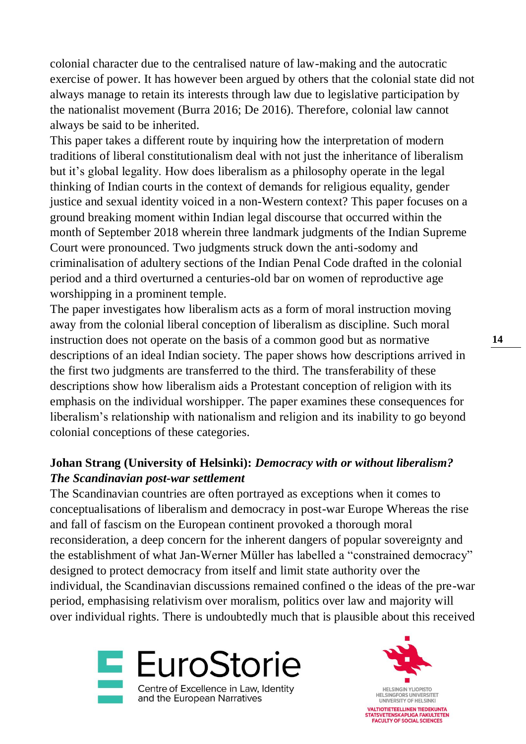colonial character due to the centralised nature of law-making and the autocratic exercise of power. It has however been argued by others that the colonial state did not always manage to retain its interests through law due to legislative participation by the nationalist movement (Burra 2016; De 2016). Therefore, colonial law cannot always be said to be inherited.

This paper takes a different route by inquiring how the interpretation of modern traditions of liberal constitutionalism deal with not just the inheritance of liberalism but it's global legality. How does liberalism as a philosophy operate in the legal thinking of Indian courts in the context of demands for religious equality, gender justice and sexual identity voiced in a non-Western context? This paper focuses on a ground breaking moment within Indian legal discourse that occurred within the month of September 2018 wherein three landmark judgments of the Indian Supreme Court were pronounced. Two judgments struck down the anti-sodomy and criminalisation of adultery sections of the Indian Penal Code drafted in the colonial period and a third overturned a centuries-old bar on women of reproductive age worshipping in a prominent temple.

The paper investigates how liberalism acts as a form of moral instruction moving away from the colonial liberal conception of liberalism as discipline. Such moral instruction does not operate on the basis of a common good but as normative descriptions of an ideal Indian society. The paper shows how descriptions arrived in the first two judgments are transferred to the third. The transferability of these descriptions show how liberalism aids a Protestant conception of religion with its emphasis on the individual worshipper. The paper examines these consequences for liberalism's relationship with nationalism and religion and its inability to go beyond colonial conceptions of these categories.

#### **Johan Strang (University of Helsinki):** *Democracy with or without liberalism? The Scandinavian post-war settlement*

The Scandinavian countries are often portrayed as exceptions when it comes to conceptualisations of liberalism and democracy in post-war Europe Whereas the rise and fall of fascism on the European continent provoked a thorough moral reconsideration, a deep concern for the inherent dangers of popular sovereignty and the establishment of what Jan-Werner Müller has labelled a "constrained democracy" designed to protect democracy from itself and limit state authority over the individual, the Scandinavian discussions remained confined o the ideas of the pre-war period, emphasising relativism over moralism, politics over law and majority will over individual rights. There is undoubtedly much that is plausible about this received



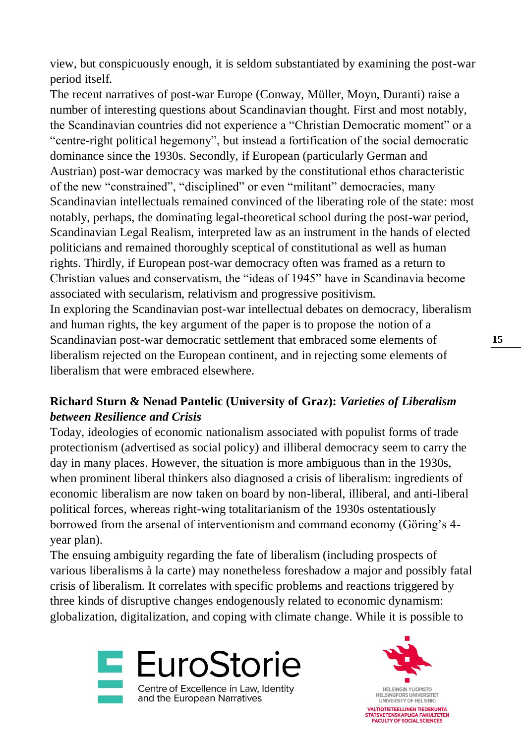view, but conspicuously enough, it is seldom substantiated by examining the post-war period itself.

The recent narratives of post-war Europe (Conway, Müller, Moyn, Duranti) raise a number of interesting questions about Scandinavian thought. First and most notably, the Scandinavian countries did not experience a "Christian Democratic moment" or a "centre-right political hegemony", but instead a fortification of the social democratic dominance since the 1930s. Secondly, if European (particularly German and Austrian) post-war democracy was marked by the constitutional ethos characteristic of the new "constrained", "disciplined" or even "militant" democracies, many Scandinavian intellectuals remained convinced of the liberating role of the state: most notably, perhaps, the dominating legal-theoretical school during the post-war period, Scandinavian Legal Realism, interpreted law as an instrument in the hands of elected politicians and remained thoroughly sceptical of constitutional as well as human rights. Thirdly, if European post-war democracy often was framed as a return to Christian values and conservatism, the "ideas of 1945" have in Scandinavia become associated with secularism, relativism and progressive positivism.

In exploring the Scandinavian post-war intellectual debates on democracy, liberalism and human rights, the key argument of the paper is to propose the notion of a Scandinavian post-war democratic settlement that embraced some elements of liberalism rejected on the European continent, and in rejecting some elements of liberalism that were embraced elsewhere.

### **Richard Sturn & Nenad Pantelic (University of Graz):** *Varieties of Liberalism between Resilience and Crisis*

Today, ideologies of economic nationalism associated with populist forms of trade protectionism (advertised as social policy) and illiberal democracy seem to carry the day in many places. However, the situation is more ambiguous than in the 1930s, when prominent liberal thinkers also diagnosed a crisis of liberalism: ingredients of economic liberalism are now taken on board by non-liberal, illiberal, and anti-liberal political forces, whereas right-wing totalitarianism of the 1930s ostentatiously borrowed from the arsenal of interventionism and command economy (Göring's 4 year plan).

The ensuing ambiguity regarding the fate of liberalism (including prospects of various liberalisms à la carte) may nonetheless foreshadow a major and possibly fatal crisis of liberalism. It correlates with specific problems and reactions triggered by three kinds of disruptive changes endogenously related to economic dynamism: globalization, digitalization, and coping with climate change. While it is possible to



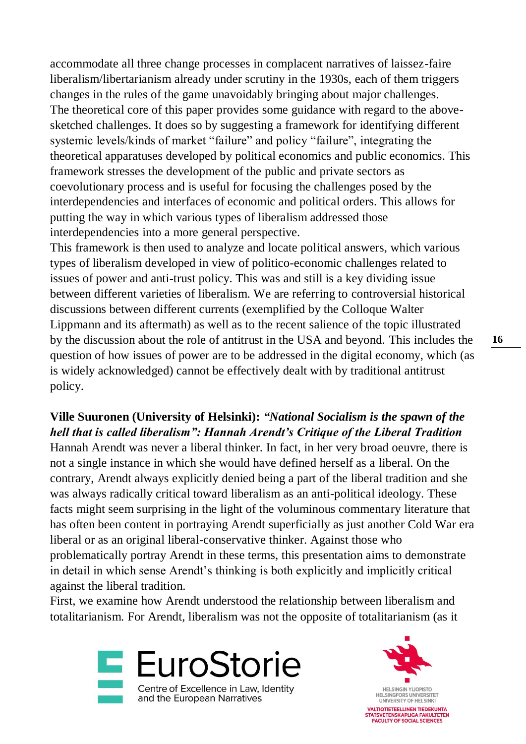accommodate all three change processes in complacent narratives of laissez-faire liberalism/libertarianism already under scrutiny in the 1930s, each of them triggers changes in the rules of the game unavoidably bringing about major challenges. The theoretical core of this paper provides some guidance with regard to the abovesketched challenges. It does so by suggesting a framework for identifying different systemic levels/kinds of market "failure" and policy "failure", integrating the theoretical apparatuses developed by political economics and public economics. This framework stresses the development of the public and private sectors as coevolutionary process and is useful for focusing the challenges posed by the interdependencies and interfaces of economic and political orders. This allows for putting the way in which various types of liberalism addressed those interdependencies into a more general perspective.

This framework is then used to analyze and locate political answers, which various types of liberalism developed in view of politico-economic challenges related to issues of power and anti-trust policy. This was and still is a key dividing issue between different varieties of liberalism. We are referring to controversial historical discussions between different currents (exemplified by the Colloque Walter Lippmann and its aftermath) as well as to the recent salience of the topic illustrated by the discussion about the role of antitrust in the USA and beyond. This includes the question of how issues of power are to be addressed in the digital economy, which (as is widely acknowledged) cannot be effectively dealt with by traditional antitrust policy.

#### **Ville Suuronen (University of Helsinki):** *"National Socialism is the spawn of the hell that is called liberalism": Hannah Arendt's Critique of the Liberal Tradition*

Hannah Arendt was never a liberal thinker. In fact, in her very broad oeuvre, there is not a single instance in which she would have defined herself as a liberal. On the contrary, Arendt always explicitly denied being a part of the liberal tradition and she was always radically critical toward liberalism as an anti-political ideology. These facts might seem surprising in the light of the voluminous commentary literature that has often been content in portraying Arendt superficially as just another Cold War era liberal or as an original liberal-conservative thinker. Against those who problematically portray Arendt in these terms, this presentation aims to demonstrate in detail in which sense Arendt's thinking is both explicitly and implicitly critical against the liberal tradition.

First, we examine how Arendt understood the relationship between liberalism and totalitarianism. For Arendt, liberalism was not the opposite of totalitarianism (as it



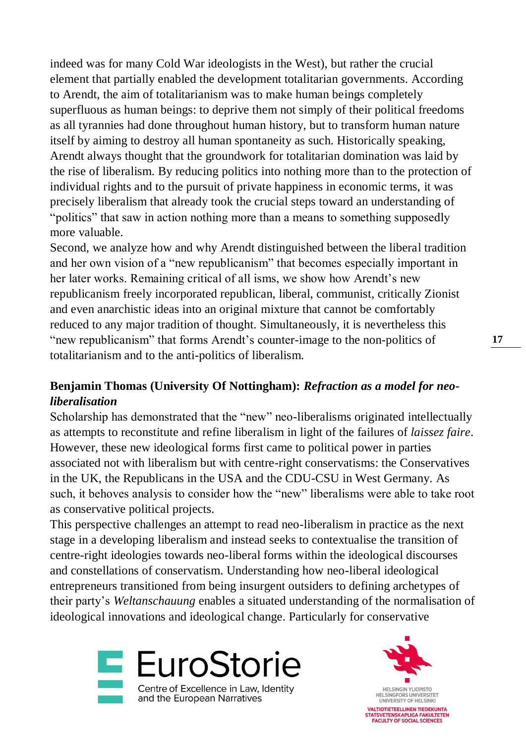indeed was for many Cold War ideologists in the West), but rather the crucial element that partially enabled the development totalitarian governments. According to Arendt, the aim of totalitarianism was to make human beings completely superfluous as human beings: to deprive them not simply of their political freedoms as all tyrannies had done throughout human history, but to transform human nature itself by aiming to destroy all human spontaneity as such. Historically speaking, Arendt always thought that the groundwork for totalitarian domination was laid by the rise of liberalism. By reducing politics into nothing more than to the protection of individual rights and to the pursuit of private happiness in economic terms, it was precisely liberalism that already took the crucial steps toward an understanding of "politics" that saw in action nothing more than a means to something supposedly more valuable.

Second, we analyze how and why Arendt distinguished between the liberal tradition and her own vision of a "new republicanism" that becomes especially important in her later works. Remaining critical of all isms, we show how Arendt's new republicanism freely incorporated republican, liberal, communist, critically Zionist and even anarchistic ideas into an original mixture that cannot be comfortably reduced to any major tradition of thought. Simultaneously, it is nevertheless this "new republicanism" that forms Arendt's counter-image to the non-politics of totalitarianism and to the anti-politics of liberalism.

#### **Benjamin Thomas (University Of Nottingham):** *Refraction as a model for neoliberalisation*

Scholarship has demonstrated that the "new" neo-liberalisms originated intellectually as attempts to reconstitute and refine liberalism in light of the failures of *laissez faire*. However, these new ideological forms first came to political power in parties associated not with liberalism but with centre-right conservatisms: the Conservatives in the UK, the Republicans in the USA and the CDU-CSU in West Germany. As such, it behoves analysis to consider how the "new" liberalisms were able to take root as conservative political projects.

This perspective challenges an attempt to read neo-liberalism in practice as the next stage in a developing liberalism and instead seeks to contextualise the transition of centre-right ideologies towards neo-liberal forms within the ideological discourses and constellations of conservatism. Understanding how neo-liberal ideological entrepreneurs transitioned from being insurgent outsiders to defining archetypes of their party's *Weltanschauung* enables a situated understanding of the normalisation of ideological innovations and ideological change. Particularly for conservative



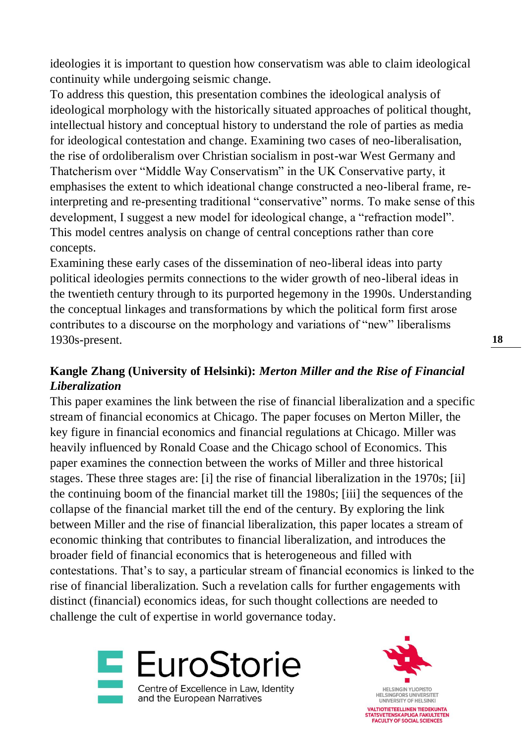ideologies it is important to question how conservatism was able to claim ideological continuity while undergoing seismic change.

To address this question, this presentation combines the ideological analysis of ideological morphology with the historically situated approaches of political thought, intellectual history and conceptual history to understand the role of parties as media for ideological contestation and change. Examining two cases of neo-liberalisation, the rise of ordoliberalism over Christian socialism in post-war West Germany and Thatcherism over "Middle Way Conservatism" in the UK Conservative party, it emphasises the extent to which ideational change constructed a neo-liberal frame, reinterpreting and re-presenting traditional "conservative" norms. To make sense of this development, I suggest a new model for ideological change, a "refraction model". This model centres analysis on change of central conceptions rather than core concepts.

Examining these early cases of the dissemination of neo-liberal ideas into party political ideologies permits connections to the wider growth of neo-liberal ideas in the twentieth century through to its purported hegemony in the 1990s. Understanding the conceptual linkages and transformations by which the political form first arose contributes to a discourse on the morphology and variations of "new" liberalisms 1930s-present.

#### **Kangle Zhang (University of Helsinki):** *Merton Miller and the Rise of Financial Liberalization*

This paper examines the link between the rise of financial liberalization and a specific stream of financial economics at Chicago. The paper focuses on Merton Miller, the key figure in financial economics and financial regulations at Chicago. Miller was heavily influenced by Ronald Coase and the Chicago school of Economics. This paper examines the connection between the works of Miller and three historical stages. These three stages are: [i] the rise of financial liberalization in the 1970s; [ii] the continuing boom of the financial market till the 1980s; [iii] the sequences of the collapse of the financial market till the end of the century. By exploring the link between Miller and the rise of financial liberalization, this paper locates a stream of economic thinking that contributes to financial liberalization, and introduces the broader field of financial economics that is heterogeneous and filled with contestations. That's to say, a particular stream of financial economics is linked to the rise of financial liberalization. Such a revelation calls for further engagements with distinct (financial) economics ideas, for such thought collections are needed to challenge the cult of expertise in world governance today.